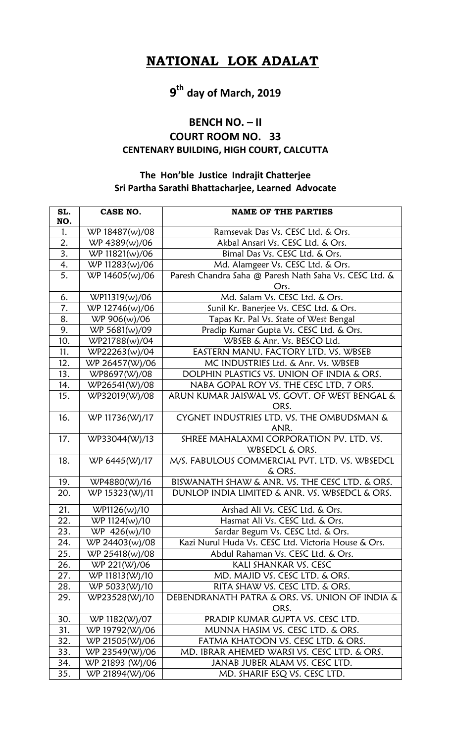## **NATIONAL LOK ADALAT**

# **9 th day of March, 2019**

#### **BENCH NO. – II**

### **COURT ROOM NO. 33 CENTENARY BUILDING, HIGH COURT, CALCUTTA**

### **The Hon'ble Justice Indrajit Chatterjee Sri Partha Sarathi Bhattacharjee, Learned Advocate**

| SL.<br>NO. | CASE NO.        | <b>NAME OF THE PARTIES</b>                             |
|------------|-----------------|--------------------------------------------------------|
| 1.         | WP 18487(w)/08  | Ramsevak Das Vs. CESC Ltd. & Ors.                      |
| 2.         | WP 4389(w)/06   | Akbal Ansari Vs. CESC Ltd. & Ors.                      |
| 3.         | WP 11821(w)/06  | Bimal Das Vs. CESC Ltd. & Ors.                         |
| 4.         | WP 11283(w)/06  | Md. Alamgeer Vs. CESC Ltd. & Ors.                      |
| 5.         | WP 14605(w)/06  | Paresh Chandra Saha @ Paresh Nath Saha Vs. CESC Ltd. & |
|            |                 | Ors.                                                   |
| 6.         | WP11319(w)/06   | Md. Salam Vs. CESC Ltd. & Ors.                         |
| 7.         | WP 12746(w)/06  | Sunil Kr. Banerjee Vs. CESC Ltd. & Ors.                |
| 8.         | WP 906(w)/06    | Tapas Kr. Pal Vs. State of West Bengal                 |
| 9.         | WP 5681(w)/09   | Pradip Kumar Gupta Vs. CESC Ltd. & Ors.                |
| 10.        | WP21788(w)/04   | WBSEB & Anr. Vs. BESCO Ltd.                            |
| 11.        | WP22263(w)/04   | EASTERN MANU. FACTORY LTD. VS. WBSEB                   |
| 12.        | WP 26457(W)/06  | MC INDUSTRIES Ltd. & Anr. Vs. WBSEB                    |
| 13.        | WP8697(W)/08    | DOLPHIN PLASTICS VS. UNION OF INDIA & ORS.             |
| 14.        | WP26541(W)/08   | NABA GOPAL ROY VS. THE CESC LTD, 7 ORS.                |
| 15.        | WP32019(W)/08   | ARUN KUMAR JAISWAL VS. GOVT. OF WEST BENGAL &          |
|            |                 | ORS.                                                   |
| 16.        | WP 11736(W)/17  | CYGNET INDUSTRIES LTD. VS. THE OMBUDSMAN &             |
|            |                 | ANR.                                                   |
| 17.        | WP33044(W)/13   | SHREE MAHALAXMI CORPORATION PV. LTD. VS.               |
|            |                 | WBSEDCL & ORS.                                         |
| 18.        | WP 6445(W)/17   | M/S. FABULOUS COMMERCIAL PVT. LTD. VS. WBSEDCL         |
|            |                 | & ORS.                                                 |
| 19.        | WP4880(W)/16    | BISWANATH SHAW & ANR. VS. THE CESC LTD. & ORS.         |
| 20.        | WP 15323(W)/11  | DUNLOP INDIA LIMITED & ANR. VS. WBSEDCL & ORS.         |
| 21.        | WP1126(w)/10    | Arshad Ali Vs. CESC Ltd. & Ors.                        |
| 22.        | WP 1124(w)/10   | Hasmat Ali Vs. CESC Ltd. & Ors.                        |
| 23.        | WP 426(w)/10    | Sardar Begum Vs. CESC Ltd. & Ors.                      |
| 24.        | WP 24403(w)/08  | Kazi Nurul Huda Vs. CESC Ltd. Victoria House & Ors.    |
| 25.        | WP 25418(w)/08  | Abdul Rahaman Vs. CESC Ltd. & Ors.                     |
| 26.        | WP 221(W)/06    | <b>KALI SHANKAR VS. CESC</b>                           |
| 27.        | WP 11813(W)/10  | MD. MAJID VS. CESC LTD. & ORS.                         |
| 28.        | WP 5033(W)/10   | RITA SHAW VS. CESC LTD. & ORS.                         |
| 29.        | WP23528(W)/10   | DEBENDRANATH PATRA & ORS. VS. UNION OF INDIA &         |
|            |                 | ORS.                                                   |
| 30.        | WP 1182(W)/07   | PRADIP KUMAR GUPTA VS. CESC LTD.                       |
| 31.        | WP 19792(W)/06  | MUNNA HASIM VS. CESC LTD. & ORS.                       |
| 32.        | WP 21505(W)/06  | FATMA KHATOON VS. CESC LTD. & ORS.                     |
| 33.        | WP 23549(W)/06  | MD. IBRAR AHEMED WARSI VS. CESC LTD. & ORS.            |
| 34.        | WP 21893 (W)/06 | JANAB JUBER ALAM VS. CESC LTD.                         |
| 35.        | WP 21894(W)/06  | MD. SHARIF ESQ VS. CESC LTD.                           |